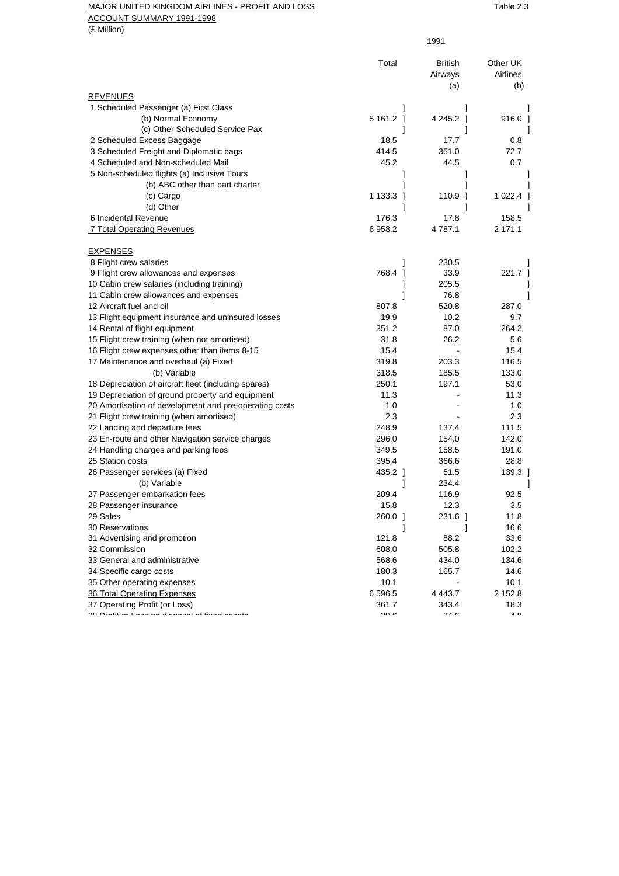## MAJOR UNITED KINGDOM AIRLINES - PROFIT AND LOSS TABLE 2.3 ACCOUNT SUMMARY 1991-1998

(£ Million)

|                                                                                 | Total                  | <b>British</b><br>Airways | Other UK<br>Airlines |
|---------------------------------------------------------------------------------|------------------------|---------------------------|----------------------|
| <b>REVENUES</b>                                                                 |                        | (a)                       | (b)                  |
| 1 Scheduled Passenger (a) First Class                                           |                        |                           |                      |
| (b) Normal Economy                                                              | 5 161.2 1              | 4 245.2 1                 | $916.0$ ]            |
| (c) Other Scheduled Service Pax                                                 |                        |                           |                      |
| 2 Scheduled Excess Baggage                                                      | 18.5                   | 17.7                      | 0.8                  |
| 3 Scheduled Freight and Diplomatic bags                                         | 414.5                  | 351.0                     | 72.7                 |
| 4 Scheduled and Non-scheduled Mail                                              | 45.2                   | 44.5                      | 0.7                  |
| 5 Non-scheduled flights (a) Inclusive Tours                                     |                        |                           |                      |
| (b) ABC other than part charter                                                 |                        |                           |                      |
| (c) Cargo                                                                       | 1 133.3 ]              | 110.9 1                   | 1 022.4              |
| (d) Other                                                                       | 1                      | 1                         |                      |
| 6 Incidental Revenue                                                            | 176.3                  | 17.8                      | 158.5                |
| 7 Total Operating Revenues                                                      | 6958.2                 | 4 787.1                   | 2 171.1              |
|                                                                                 |                        |                           |                      |
| <b>EXPENSES</b>                                                                 |                        | 230.5                     |                      |
| 8 Flight crew salaries<br>9 Flight crew allowances and expenses                 | 1<br>768.4 1           | 33.9                      | 221.7 1              |
| 10 Cabin crew salaries (including training)                                     |                        | 205.5                     |                      |
| 11 Cabin crew allowances and expenses                                           |                        | 76.8                      |                      |
| 12 Aircraft fuel and oil                                                        | 807.8                  | 520.8                     | 287.0                |
|                                                                                 | 19.9                   | 10.2                      | 9.7                  |
| 13 Flight equipment insurance and uninsured losses                              |                        |                           | 264.2                |
| 14 Rental of flight equipment                                                   | 351.2                  | 87.0<br>26.2              |                      |
| 15 Flight crew training (when not amortised)                                    | 31.8<br>15.4           |                           | 5.6<br>15.4          |
| 16 Flight crew expenses other than items 8-15                                   |                        |                           |                      |
| 17 Maintenance and overhaul (a) Fixed                                           | 319.8                  | 203.3<br>185.5            | 116.5<br>133.0       |
| (b) Variable                                                                    | 318.5                  |                           |                      |
| 18 Depreciation of aircraft fleet (including spares)                            | 250.1                  | 197.1                     | 53.0                 |
| 19 Depreciation of ground property and equipment                                | 11.3                   |                           | 11.3                 |
| 20 Amortisation of development and pre-operating costs                          | 1.0                    |                           | 1.0                  |
| 21 Flight crew training (when amortised)                                        | 2.3                    |                           | 2.3                  |
| 22 Landing and departure fees                                                   | 248.9                  | 137.4                     | 111.5                |
| 23 En-route and other Navigation service charges                                | 296.0                  | 154.0                     | 142.0                |
| 24 Handling charges and parking fees                                            | 349.5                  | 158.5                     | 191.0                |
| 25 Station costs                                                                | 395.4                  | 366.6                     | 28.8                 |
| 26 Passenger services (a) Fixed                                                 | 435.2 1                | 61.5                      | 139.3 1              |
| (b) Variable                                                                    |                        | 234.4                     |                      |
| 27 Passenger embarkation fees                                                   | 209.4                  | 116.9                     | 92.5                 |
| 28 Passenger insurance                                                          | 15.8                   | 12.3                      | 3.5                  |
| 29 Sales                                                                        | 260.0 1                | 231.6 1                   | 11.8                 |
| <b>30 Reservations</b>                                                          |                        |                           | 16.6                 |
| 31 Advertising and promotion                                                    | 121.8                  | 88.2                      | 33.6                 |
| 32 Commission                                                                   | 608.0                  | 505.8                     | 102.2                |
| 33 General and administrative                                                   | 568.6                  | 434.0                     | 134.6                |
| 34 Specific cargo costs                                                         | 180.3                  | 165.7                     | 14.6                 |
| 35 Other operating expenses                                                     | 10.1                   |                           | 10.1                 |
| 36 Total Operating Expenses                                                     | 6596.5                 | 4 4 4 3.7                 | 2 152.8              |
| 37 Operating Profit (or Loss)<br>on Baafit as I and an allanged of films and an | 361.7<br>$\sim$ $\sim$ | 343.4<br>$\sim$ $\sim$    | 18.3<br>$\sqrt{2}$   |
|                                                                                 |                        |                           |                      |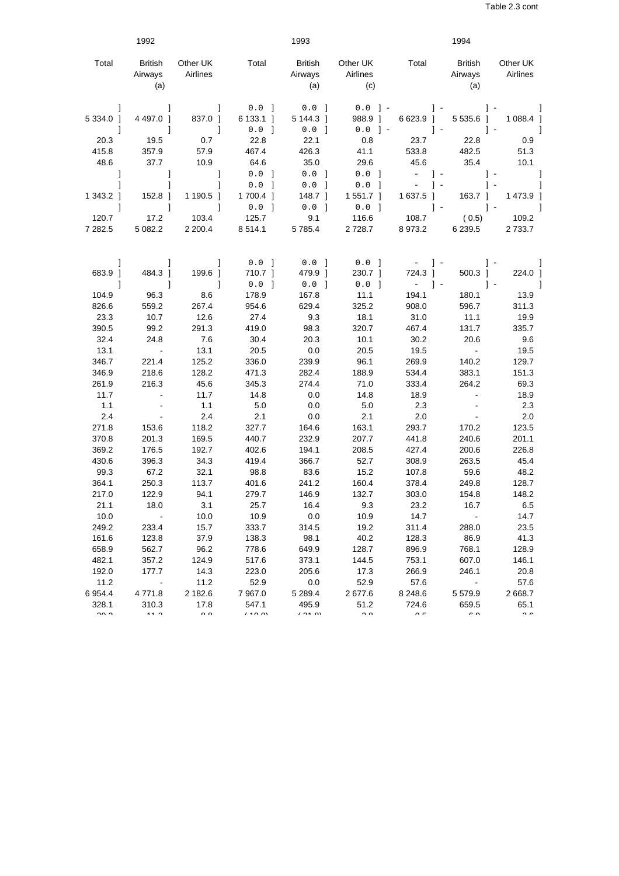|                               | 1992                             |                           |                                  | 1993                            |                                                                  |                        | 1994                               |                       |
|-------------------------------|----------------------------------|---------------------------|----------------------------------|---------------------------------|------------------------------------------------------------------|------------------------|------------------------------------|-----------------------|
| Total                         | <b>British</b><br>Airways<br>(a) | Other UK<br>Airlines      | Total                            | British<br>Airways<br>(a)       | Other UK<br>Airlines<br>(c)                                      | Total                  | <b>British</b><br>Airways<br>(a)   | Other UK<br>Airlines  |
| 5 3 3 4 . 0 ]<br>$\mathbf{1}$ | 4 4 9 7.0 ]<br>$\mathbf{I}$      | 837.0 1<br>$\blacksquare$ | $0.0$ 1<br>$6133.1$ ]<br>$0.0$ ] | $0.0$ 1<br>5 144.3 1<br>$0.0$ ] | $0.0$ ] –<br>988.9 1<br>${\bf 0}$ . ${\bf 0}$<br>$\vert - \vert$ | 6 623.9 ]              | 5 535.6 1<br>$\vert$ -             | 1 088.4 ]<br>-1       |
| 20.3                          | 19.5                             | 0.7                       | 22.8                             | 22.1                            | 0.8                                                              | 23.7                   | 22.8                               | 0.9                   |
| 415.8                         | 357.9                            | 57.9                      | 467.4                            | 426.3                           | 41.1                                                             | 533.8                  | 482.5                              | 51.3                  |
| 48.6                          | 37.7                             | 10.9                      | 64.6                             | 35.0                            | 29.6                                                             | 45.6                   | 35.4                               | 10.1                  |
| -1                            | 1                                | -1                        | $0.0$ 1                          | $0.0$ 1                         | $0.0$ 1                                                          | $-1-$                  | $\vert$ -                          | J                     |
|                               | 1                                | 1                         | $0.0$ ]                          | $0.0$ ]                         | $0.0$ 1                                                          | $\equiv$               | $\vert - \vert$                    | $\vert - \vert$       |
| 1 343.2 1                     | $152.8$ 1                        | 1 190.5 1                 | 1700.4 ]                         | 148.7 1                         | $1551.7$ ]                                                       | 1 637.5 1              | $163.7$ 1                          | 1473.9 ]              |
| 1                             | 1                                | 1                         | $0.0$ ]                          | $0.0$ ]                         | $0.0$ ]                                                          |                        | $\vert - \vert$<br>$\vert - \vert$ |                       |
| 120.7                         | 17.2                             | 103.4                     | 125.7                            | 9.1                             | 116.6                                                            | 108.7                  | (0.5)                              | 109.2                 |
| 7 282.5                       | 5 082.2                          | 2 200.4                   | 8514.1                           | 5785.4                          | 2 7 2 8 . 7                                                      | 8973.2                 | 6 2 3 9.5                          | 2 7 3 3.7             |
|                               |                                  |                           |                                  |                                 |                                                                  |                        |                                    |                       |
| -1                            | 1                                | 1                         | $0.0$ 1                          | $0.0$ 1                         | $0.0$ 1                                                          | $-1$                   |                                    |                       |
| 683.9 ]                       | 484.3 ]                          | 199.6                     | 710.7 1                          | 479.9 1                         | 230.7 1                                                          | 724.3 ]                | 500.3 1                            | 224.0 ]               |
| 1                             | 1                                | 1                         | $0.0$ ]                          | $0.0$ 1                         | $0.0$ ]                                                          | $-1$ -                 | $1 -$                              |                       |
| 104.9                         | 96.3                             | 8.6                       | 178.9                            | 167.8                           | 11.1                                                             | 194.1                  | 180.1                              | 13.9                  |
| 826.6                         | 559.2                            | 267.4                     | 954.6                            | 629.4                           | 325.2                                                            | 908.0                  | 596.7                              | 311.3                 |
| 23.3                          | 10.7                             | 12.6                      | 27.4                             | 9.3                             | 18.1                                                             | 31.0                   | 11.1                               | 19.9                  |
| 390.5                         | 99.2                             | 291.3                     | 419.0                            | 98.3                            | 320.7                                                            | 467.4                  | 131.7                              | 335.7                 |
| 32.4                          | 24.8                             | 7.6                       | 30.4                             | 20.3                            | 10.1                                                             | 30.2                   | 20.6                               | 9.6                   |
| 13.1                          | $\sim 100$                       | 13.1                      | 20.5                             | 0.0                             | 20.5                                                             | 19.5                   | $\sim 100$                         | 19.5                  |
| 346.7                         | 221.4                            | 125.2                     | 336.0                            | 239.9                           | 96.1                                                             | 269.9                  | 140.2                              | 129.7                 |
| 346.9                         | 218.6                            | 128.2                     | 471.3                            | 282.4                           | 188.9                                                            | 534.4                  | 383.1                              | 151.3                 |
| 261.9                         | 216.3                            | 45.6                      | 345.3                            | 274.4                           | 71.0                                                             | 333.4                  | 264.2                              | 69.3                  |
| 11.7                          |                                  | 11.7                      | 14.8                             | 0.0                             | 14.8                                                             | 18.9                   |                                    | 18.9                  |
| 1.1                           |                                  | 1.1                       | $5.0\,$                          | 0.0                             | $5.0\,$                                                          | 2.3                    |                                    | 2.3                   |
| 2.4                           | $\sim$                           | 2.4                       | 2.1                              | 0.0                             | 2.1                                                              | 2.0                    |                                    | 2.0                   |
| 271.8                         | 153.6                            | 118.2                     | 327.7                            | 164.6                           | 163.1                                                            | 293.7                  | 170.2                              | 123.5                 |
| 370.8                         | 201.3                            | 169.5                     | 440.7                            | 232.9                           | 207.7                                                            | 441.8                  | 240.6                              | 201.1                 |
| 369.2                         | 176.5                            | 192.7                     | 402.6                            | 194.1                           | 208.5                                                            | 427.4                  | 200.6                              | 226.8                 |
| 430.6                         | 396.3                            | 34.3                      | 419.4                            | 366.7                           | 52.7                                                             | 308.9                  | 263.5                              | 45.4                  |
| 99.3                          | 67.2                             | 32.1                      | 98.8                             | 83.6                            | 15.2                                                             | 107.8                  | 59.6                               | 48.2                  |
| 364.1                         | 250.3                            | 113.7                     | 401.6                            | 241.2                           | 160.4                                                            | 378.4                  | 249.8                              | 128.7                 |
| 217.0                         | 122.9                            | 94.1                      | 279.7                            | 146.9                           | 132.7                                                            | 303.0                  | 154.8                              | 148.2                 |
| 21.1                          | 18.0                             | 3.1                       | 25.7                             | 16.4                            | 9.3                                                              | 23.2                   | 16.7                               | 6.5                   |
| 10.0                          |                                  | 10.0                      | 10.9                             | 0.0                             | 10.9                                                             | 14.7                   | $\blacksquare$                     | 14.7                  |
| 249.2                         | 233.4                            | 15.7                      | 333.7                            | 314.5                           | 19.2                                                             | 311.4                  | 288.0                              | 23.5                  |
| 161.6                         | 123.8                            | 37.9                      | 138.3                            | 98.1                            | 40.2                                                             | 128.3                  | 86.9                               | 41.3                  |
| 658.9                         | 562.7                            | 96.2                      | 778.6                            | 649.9                           | 128.7                                                            | 896.9                  | 768.1                              | 128.9                 |
| 482.1                         | 357.2                            | 124.9                     | 517.6                            | 373.1                           | 144.5                                                            | 753.1                  | 607.0                              | 146.1                 |
| 192.0                         | 177.7                            | 14.3                      | 223.0                            | 205.6                           | 17.3                                                             | 266.9                  | 246.1                              | 20.8                  |
| 11.2                          |                                  | 11.2                      | 52.9                             | 0.0                             | 52.9                                                             | 57.6                   |                                    | 57.6                  |
| 6 9 5 4.4                     | 4771.8                           | 2 182.6                   | 7 9 67.0                         | 5 289.4                         | 2677.6                                                           | 8 2 4 8 . 6            | 5579.9                             | 2668.7                |
| 328.1<br>$\sim$ $\sim$        | 310.3<br>$\overline{A}$          | 17.8<br>$\sim$ $\sim$     | 547.1<br>1.40M                   | 495.9<br>$\sqrt{24}$            | 51.2<br>$\sim$ $\sim$                                            | 724.6<br>$\sim$ $\sim$ | 659.5<br>$\sim$ $\sim$             | 65.1<br>$\sim$ $\sim$ |
|                               |                                  |                           |                                  |                                 |                                                                  |                        |                                    |                       |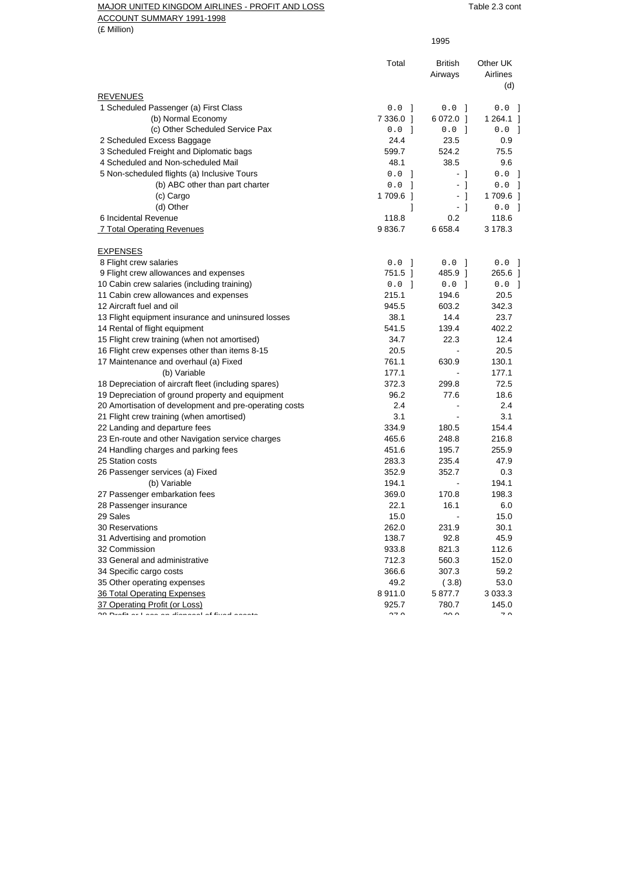## MAJOR UNITED KINGDOM AIRLINES - PROFIT AND LOSS TABLE 2.3 cont

ACCOUNT SUMMARY 1991-1998

(£ Million)

|                                                                                                          | 1995          |                           |                             |
|----------------------------------------------------------------------------------------------------------|---------------|---------------------------|-----------------------------|
|                                                                                                          | Total         | <b>British</b><br>Airways | Other UK<br>Airlines<br>(d) |
| <b>REVENUES</b>                                                                                          |               |                           |                             |
| 1 Scheduled Passenger (a) First Class                                                                    | $0.0$ ]       | $0.0$ 1                   | $0.0$ ]                     |
| (b) Normal Economy                                                                                       | 7 336.0 ]     | 6 072.0 1                 | 1 264.1 ]                   |
| (c) Other Scheduled Service Pax                                                                          | $0.0$ 1       | $0.0$ 1                   | $0.0$ ]                     |
| 2 Scheduled Excess Baggage                                                                               | 24.4          | 23.5                      | 0.9                         |
| 3 Scheduled Freight and Diplomatic bags                                                                  | 599.7         | 524.2                     | 75.5                        |
| 4 Scheduled and Non-scheduled Mail                                                                       | 48.1          | 38.5                      | 9.6                         |
| 5 Non-scheduled flights (a) Inclusive Tours                                                              | 0.0<br>-1     | - 1                       | $0.0$ ]                     |
| (b) ABC other than part charter                                                                          | 0.0<br>- 1    | $-1$                      | $0.0$                       |
| (c) Cargo                                                                                                | 1709.6 1      | - 1                       | 1709.6 1                    |
| (d) Other                                                                                                | 1             | $-1$                      | $0.0$ ]                     |
| 6 Incidental Revenue                                                                                     | 118.8         | 0.2                       | 118.6                       |
| 7 Total Operating Revenues                                                                               | 9836.7        | 6658.4                    | 3 178.3                     |
| <b>EXPENSES</b>                                                                                          |               |                           |                             |
| 8 Flight crew salaries                                                                                   | 0.0<br>-1     | 0.0<br>- 1                | $0.0$ 1                     |
| 9 Flight crew allowances and expenses                                                                    | 751.5 1       | 485.9 1                   | 265.6 ]                     |
| 10 Cabin crew salaries (including training)                                                              | $0.0$ 1       | 0.0<br>- 1                | $0.0$ ]                     |
| 11 Cabin crew allowances and expenses                                                                    | 215.1         | 194.6                     | 20.5                        |
| 12 Aircraft fuel and oil                                                                                 | 945.5         | 603.2                     | 342.3                       |
| 13 Flight equipment insurance and uninsured losses                                                       | 38.1          | 14.4                      | 23.7                        |
| 14 Rental of flight equipment                                                                            | 541.5         | 139.4                     | 402.2                       |
| 15 Flight crew training (when not amortised)                                                             | 34.7          | 22.3                      | 12.4                        |
| 16 Flight crew expenses other than items 8-15                                                            | 20.5          |                           | 20.5                        |
| 17 Maintenance and overhaul (a) Fixed                                                                    | 761.1         | 630.9                     | 130.1                       |
| (b) Variable                                                                                             | 177.1         |                           | 177.1                       |
| 18 Depreciation of aircraft fleet (including spares)                                                     | 372.3         | 299.8                     | 72.5                        |
| 19 Depreciation of ground property and equipment                                                         | 96.2          | 77.6                      | 18.6                        |
| 20 Amortisation of development and pre-operating costs                                                   | 2.4           |                           | 2.4                         |
| 21 Flight crew training (when amortised)                                                                 | 3.1           |                           | 3.1                         |
| 22 Landing and departure fees                                                                            | 334.9         | 180.5                     | 154.4                       |
| 23 En-route and other Navigation service charges                                                         | 465.6         | 248.8                     | 216.8                       |
| 24 Handling charges and parking fees                                                                     | 451.6         | 195.7                     | 255.9                       |
| 25 Station costs                                                                                         | 283.3         | 235.4                     | 47.9                        |
| 26 Passenger services (a) Fixed                                                                          | 352.9         | 352.7                     | 0.3                         |
| (b) Variable                                                                                             | 194.1         |                           | 194.1                       |
| 27 Passenger embarkation fees                                                                            | 369.0         | 170.8                     | 198.3                       |
| 28 Passenger insurance                                                                                   | 22.1          | 16.1                      | 6.0                         |
| 29 Sales                                                                                                 | 15.0          |                           | 15.0                        |
| <b>30 Reservations</b>                                                                                   | 262.0         | 231.9                     | 30.1                        |
| 31 Advertising and promotion                                                                             | 138.7         | 92.8                      | 45.9                        |
| 32 Commission                                                                                            | 933.8         | 821.3                     | 112.6                       |
| 33 General and administrative                                                                            | 712.3         | 560.3                     | 152.0                       |
| 34 Specific cargo costs                                                                                  | 366.6         | 307.3                     | 59.2                        |
| 35 Other operating expenses                                                                              | 49.2          | (3.8)                     | 53.0                        |
| <b>36 Total Operating Expenses</b>                                                                       | 8911.0        | 5 877.7                   | 3 0 3 3.3                   |
| 37 Operating Profit (or Loss)                                                                            | 925.7         | 780.7                     | 145.0                       |
| $\overline{00.0}$ $\overline{0.000}$ and the set of the set of $\overline{0.000}$ and $\overline{0.000}$ | $\sim$ $\sim$ | $\sim$ $\sim$             | $\overline{\phantom{a}}$    |